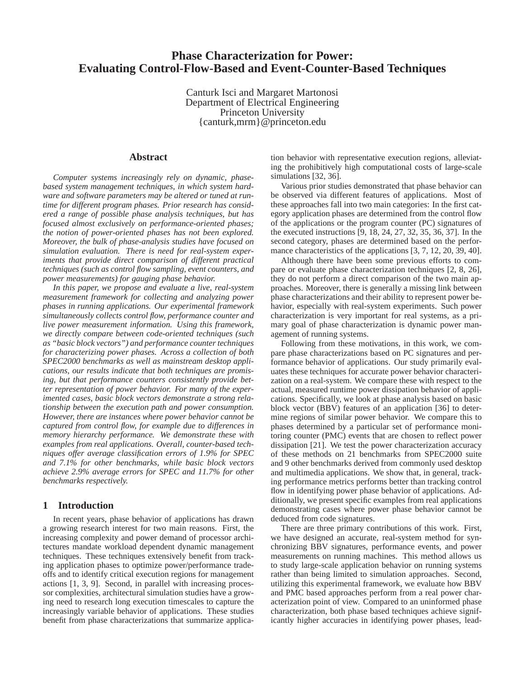# **Phase Characterization for Power: Evaluating Control-Flow-Based and Event-Counter-Based Techniques**

Canturk Isci and Margaret Martonosi Department of Electrical Engineering Princeton University {canturk,mrm}@princeton.edu

## **Abstract**

*Computer systems increasingly rely on dynamic, phasebased system management techniques, in which system hardware and software parameters may be altered or tuned at runtime for different program phases. Prior research has considered a range of possible phase analysis techniques, but has focused almost exclusively on performance-oriented phases; the notion of power-oriented phases has not been explored. Moreover, the bulk of phase-analysis studies have focused on simulation evaluation. There is need for real-system experiments that provide direct comparison of different practical techniques (such as control flow sampling, event counters, and power measurements) for gauging phase behavior.*

*In this paper, we propose and evaluate a live, real-system measurement framework for collecting and analyzing power phases in running applications. Our experimental framework simultaneously collects control flow, performance counter and live power measurement information. Using this framework, we directly compare between code-oriented techniques (such as "basic block vectors") and performance counter techniques for characterizing power phases. Across a collection of both SPEC2000 benchmarks as well as mainstream desktop applications, our results indicate that both techniques are promising, but that performance counters consistently provide better representation of power behavior. For many of the experimented cases, basic block vectors demonstrate a strong relationship between the execution path and power consumption. However, there are instances where power behavior cannot be captured from control flow, for example due to differences in memory hierarchy performance. We demonstrate these with examples from real applications. Overall, counter-based techniques offer average classification errors of 1.9% for SPEC and 7.1% for other benchmarks, while basic block vectors achieve 2.9% average errors for SPEC and 11.7% for other benchmarks respectively.*

## **1 Introduction**

In recent years, phase behavior of applications has drawn a growing research interest for two main reasons. First, the increasing complexity and power demand of processor architectures mandate workload dependent dynamic management techniques. These techniques extensively benefit from tracking application phases to optimize power/performance tradeoffs and to identify critical execution regions for management actions [1, 3, 9]. Second, in parallel with increasing processor complexities, architectural simulation studies have a growing need to research long execution timescales to capture the increasingly variable behavior of applications. These studies benefit from phase characterizations that summarize application behavior with representative execution regions, alleviating the prohibitively high computational costs of large-scale simulations [32, 36].

Various prior studies demonstrated that phase behavior can be observed via different features of applications. Most of these approaches fall into two main categories: In the first category application phases are determined from the control flow of the applications or the program counter (PC) signatures of the executed instructions [9, 18, 24, 27, 32, 35, 36, 37]. In the second category, phases are determined based on the performance characteristics of the applications [3, 7, 12, 20, 39, 40].

Although there have been some previous efforts to compare or evaluate phase characterization techniques [2, 8, 26], they do not perform a direct comparison of the two main approaches. Moreover, there is generally a missing link between phase characterizations and their ability to represent power behavior, especially with real-system experiments. Such power characterization is very important for real systems, as a primary goal of phase characterization is dynamic power management of running systems.

Following from these motivations, in this work, we compare phase characterizations based on PC signatures and performance behavior of applications. Our study primarily evaluates these techniques for accurate power behavior characterization on a real-system. We compare these with respect to the actual, measured runtime power dissipation behavior of applications. Specifically, we look at phase analysis based on basic block vector (BBV) features of an application [36] to determine regions of similar power behavior. We compare this to phases determined by a particular set of performance monitoring counter (PMC) events that are chosen to reflect power dissipation [21]. We test the power characterization accuracy of these methods on 21 benchmarks from SPEC2000 suite and 9 other benchmarks derived from commonly used desktop and multimedia applications. We show that, in general, tracking performance metrics performs better than tracking control flow in identifying power phase behavior of applications. Additionally, we present specific examples from real applications demonstrating cases where power phase behavior cannot be deduced from code signatures.

There are three primary contributions of this work. First, we have designed an accurate, real-system method for synchronizing BBV signatures, performance events, and power measurements on running machines. This method allows us to study large-scale application behavior on running systems rather than being limited to simulation approaches. Second, utilizing this experimental framework, we evaluate how BBV and PMC based approaches perform from a real power characterization point of view. Compared to an uninformed phase characterization, both phase based techniques achieve significantly higher accuracies in identifying power phases, lead-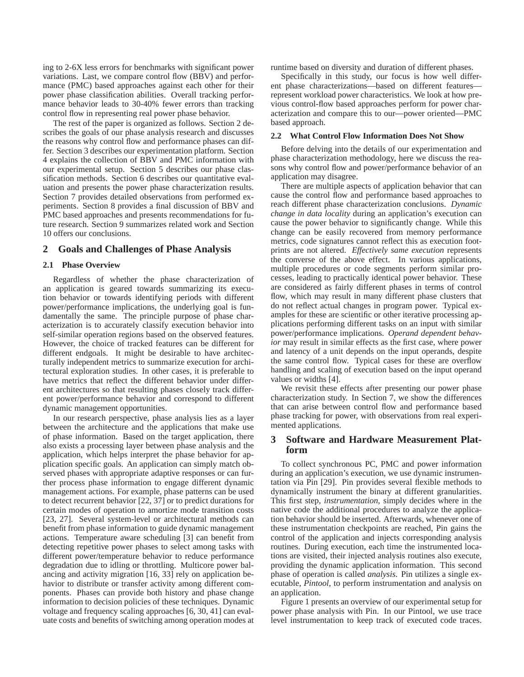ing to 2-6X less errors for benchmarks with significant power variations. Last, we compare control flow (BBV) and performance (PMC) based approaches against each other for their power phase classification abilities. Overall tracking performance behavior leads to 30-40% fewer errors than tracking control flow in representing real power phase behavior.

The rest of the paper is organized as follows. Section 2 describes the goals of our phase analysis research and discusses the reasons why control flow and performance phases can differ. Section 3 describes our experimentation platform. Section 4 explains the collection of BBV and PMC information with our experimental setup. Section 5 describes our phase classification methods. Section 6 describes our quantitative evaluation and presents the power phase characterization results. Section 7 provides detailed observations from performed experiments. Section 8 provides a final discussion of BBV and PMC based approaches and presents recommendations for future research. Section 9 summarizes related work and Section 10 offers our conclusions.

### **2 Goals and Challenges of Phase Analysis**

#### **2.1 Phase Overview**

Regardless of whether the phase characterization of an application is geared towards summarizing its execution behavior or towards identifying periods with different power/performance implications, the underlying goal is fundamentally the same. The principle purpose of phase characterization is to accurately classify execution behavior into self-similar operation regions based on the observed features. However, the choice of tracked features can be different for different endgoals. It might be desirable to have architecturally independent metrics to summarize execution for architectural exploration studies. In other cases, it is preferable to have metrics that reflect the different behavior under different architectures so that resulting phases closely track different power/performance behavior and correspond to different dynamic management opportunities.

In our research perspective, phase analysis lies as a layer between the architecture and the applications that make use of phase information. Based on the target application, there also exists a processing layer between phase analysis and the application, which helps interpret the phase behavior for application specific goals. An application can simply match observed phases with appropriate adaptive responses or can further process phase information to engage different dynamic management actions. For example, phase patterns can be used to detect recurrent behavior [22, 37] or to predict durations for certain modes of operation to amortize mode transition costs [23, 27]. Several system-level or architectural methods can benefit from phase information to guide dynamic management actions. Temperature aware scheduling [3] can benefit from detecting repetitive power phases to select among tasks with different power/temperature behavior to reduce performance degradation due to idling or throttling. Multicore power balancing and activity migration [16, 33] rely on application behavior to distribute or transfer activity among different components. Phases can provide both history and phase change information to decision policies of these techniques. Dynamic voltage and frequency scaling approaches [6, 30, 41] can evaluate costs and benefits of switching among operation modes at runtime based on diversity and duration of different phases.

Specifically in this study, our focus is how well different phase characterizations—based on different features represent workload power characteristics. We look at how previous control-flow based approaches perform for power characterization and compare this to our—power oriented—PMC based approach.

#### **2.2 What Control Flow Information Does Not Show**

Before delving into the details of our experimentation and phase characterization methodology, here we discuss the reasons why control flow and power/performance behavior of an application may disagree.

There are multiple aspects of application behavior that can cause the control flow and performance based approaches to reach different phase characterization conclusions. *Dynamic change in data locality* during an application's execution can cause the power behavior to significantly change. While this change can be easily recovered from memory performance metrics, code signatures cannot reflect this as execution footprints are not altered. *Effectively same execution* represents the converse of the above effect. In various applications, multiple procedures or code segments perform similar processes, leading to practically identical power behavior. These are considered as fairly different phases in terms of control flow, which may result in many different phase clusters that do not reflect actual changes in program power. Typical examples for these are scientific or other iterative processing applications performing different tasks on an input with similar power/performance implications. *Operand dependent behavior* may result in similar effects as the first case, where power and latency of a unit depends on the input operands, despite the same control flow. Typical cases for these are overflow handling and scaling of execution based on the input operand values or widths [4].

We revisit these effects after presenting our power phase characterization study. In Section 7, we show the differences that can arise between control flow and performance based phase tracking for power, with observations from real experimented applications.

### **3 Software and Hardware Measurement Platform**

To collect synchronous PC, PMC and power information during an application's execution, we use dynamic instrumentation via Pin [29]. Pin provides several flexible methods to dynamically instrument the binary at different granularities. This first step, *instrumentation*, simply decides where in the native code the additional procedures to analyze the application behavior should be inserted. Afterwards, whenever one of these instrumentation checkpoints are reached, Pin gains the control of the application and injects corresponding analysis routines. During execution, each time the instrumented locations are visited, their injected analysis routines also execute, providing the dynamic application information. This second phase of operation is called *analysis*. Pin utilizes a single executable, *Pintool*, to perform instrumentation and analysis on an application.

Figure 1 presents an overview of our experimental setup for power phase analysis with Pin. In our Pintool, we use trace level instrumentation to keep track of executed code traces.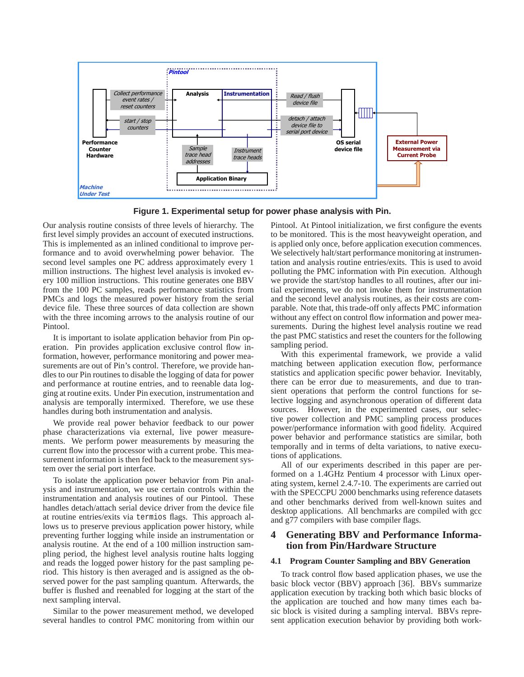

**Figure 1. Experimental setup for power phase analysis with Pin.**

Our analysis routine consists of three levels of hierarchy. The first level simply provides an account of executed instructions. This is implemented as an inlined conditional to improve performance and to avoid overwhelming power behavior. The second level samples one PC address approximately every 1 million instructions. The highest level analysis is invoked every 100 million instructions. This routine generates one BBV from the 100 PC samples, reads performance statistics from PMCs and logs the measured power history from the serial device file. These three sources of data collection are shown with the three incoming arrows to the analysis routine of our Pintool.

It is important to isolate application behavior from Pin operation. Pin provides application exclusive control flow information, however, performance monitoring and power measurements are out of Pin's control. Therefore, we provide handles to our Pin routines to disable the logging of data for power and performance at routine entries, and to reenable data logging at routine exits. Under Pin execution, instrumentation and analysis are temporally intermixed. Therefore, we use these handles during both instrumentation and analysis.

We provide real power behavior feedback to our power phase characterizations via external, live power measurements. We perform power measurements by measuring the current flow into the processor with a current probe. This measurement information is then fed back to the measurement system over the serial port interface.

To isolate the application power behavior from Pin analysis and instrumentation, we use certain controls within the instrumentation and analysis routines of our Pintool. These handles detach/attach serial device driver from the device file at routine entries/exits via termios flags. This approach allows us to preserve previous application power history, while preventing further logging while inside an instrumentation or analysis routine. At the end of a 100 million instruction sampling period, the highest level analysis routine halts logging and reads the logged power history for the past sampling period. This history is then averaged and is assigned as the observed power for the past sampling quantum. Afterwards, the buffer is flushed and reenabled for logging at the start of the next sampling interval.

Similar to the power measurement method, we developed several handles to control PMC monitoring from within our Pintool. At Pintool initialization, we first configure the events to be monitored. This is the most heavyweight operation, and is applied only once, before application execution commences. We selectively halt/start performance monitoring at instrumentation and analysis routine entries/exits. This is used to avoid polluting the PMC information with Pin execution. Although we provide the start/stop handles to all routines, after our initial experiments, we do not invoke them for instrumentation and the second level analysis routines, as their costs are comparable. Note that, this trade-off only affects PMC information without any effect on control flow information and power measurements. During the highest level analysis routine we read the past PMC statistics and reset the counters for the following sampling period.

With this experimental framework, we provide a valid matching between application execution flow, performance statistics and application specific power behavior. Inevitably, there can be error due to measurements, and due to transient operations that perform the control functions for selective logging and asynchronous operation of different data sources. However, in the experimented cases, our selective power collection and PMC sampling process produces power/performance information with good fidelity. Acquired power behavior and performance statistics are similar, both temporally and in terms of delta variations, to native executions of applications.

All of our experiments described in this paper are performed on a 1.4GHz Pentium 4 processor with Linux operating system, kernel 2.4.7-10. The experiments are carried out with the SPECCPU 2000 benchmarks using reference datasets and other benchmarks derived from well-known suites and desktop applications. All benchmarks are compiled with gcc and g77 compilers with base compiler flags.

# **4 Generating BBV and Performance Information from Pin/Hardware Structure**

### **4.1 Program Counter Sampling and BBV Generation**

To track control flow based application phases, we use the basic block vector (BBV) approach [36]. BBVs summarize application execution by tracking both which basic blocks of the application are touched and how many times each basic block is visited during a sampling interval. BBVs represent application execution behavior by providing both work-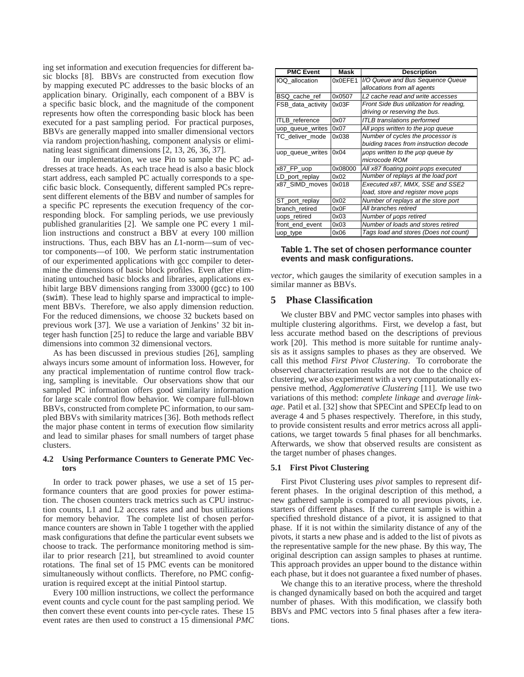ing set information and execution frequencies for different basic blocks [8]. BBVs are constructed from execution flow by mapping executed PC addresses to the basic blocks of an application binary. Originally, each component of a BBV is a specific basic block, and the magnitude of the component represents how often the corresponding basic block has been executed for a past sampling period. For practical purposes, BBVs are generally mapped into smaller dimensional vectors via random projection/hashing, component analysis or eliminating least significant dimensions [2, 13, 26, 36, 37].

In our implementation, we use Pin to sample the PC addresses at trace heads. As each trace head is also a basic block start address, each sampled PC actually corresponds to a specific basic block. Consequently, different sampled PCs represent different elements of the BBV and number of samples for a specific PC represents the execution frequency of the corresponding block. For sampling periods, we use previously published granularities [2]. We sample one PC every 1 million instructions and construct a BBV at every 100 million instructions. Thus, each BBV has an *L*1-norm—sum of vector components—of 100. We perform static instrumentation of our experimented applications with gcc compiler to determine the dimensions of basic block profiles. Even after eliminating untouched basic blocks and libraries, applications exhibit large BBV dimensions ranging from 33000 (qcc) to 100 (swim). These lead to highly sparse and impractical to implement BBVs. Therefore, we also apply dimension reduction. For the reduced dimensions, we choose 32 buckets based on previous work [37]. We use a variation of Jenkins' 32 bit integer hash function [25] to reduce the large and variable BBV dimensions into common 32 dimensional vectors.

As has been discussed in previous studies [26], sampling always incurs some amount of information loss. However, for any practical implementation of runtime control flow tracking, sampling is inevitable. Our observations show that our sampled PC information offers good similarity information for large scale control flow behavior. We compare full-blown BBVs, constructed from complete PC information, to our sampled BBVs with similarity matrices [36]. Both methods reflect the major phase content in terms of execution flow similarity and lead to similar phases for small numbers of target phase clusters.

#### **4.2 Using Performance Counters to Generate PMC Vectors**

In order to track power phases, we use a set of 15 performance counters that are good proxies for power estimation. The chosen counters track metrics such as CPU instruction counts, L1 and L2 access rates and and bus utilizations for memory behavior. The complete list of chosen performance counters are shown in Table 1 together with the applied mask configurations that define the particular event subsets we choose to track. The performance monitoring method is similar to prior research [21], but streamlined to avoid counter rotations. The final set of 15 PMC events can be monitored simultaneously without conflicts. Therefore, no PMC configuration is required except at the initial Pintool startup.

Every 100 million instructions, we collect the performance event counts and cycle count for the past sampling period. We then convert these event counts into per-cycle rates. These 15 event rates are then used to construct a 15 dimensional *PMC*

| <b>PMC Event</b>      | Mask    | <b>Description</b>                      |
|-----------------------|---------|-----------------------------------------|
| IOQ allocation        | 0x0EFE1 | I/O Queue and Bus Sequence Queue        |
|                       |         | allocations from all agents             |
| BSQ cache ref         | 0x0507  | L2 cache read and write accesses        |
| FSB data activity     | 0x03F   | Front Side Bus utilization for reading, |
|                       |         | driving or reserving the bus.           |
| <b>ITLB</b> reference | 0x07    | <b>ITLB</b> translations performed      |
| uop queue writes      | 0x07    | All uops written to the uop queue       |
| TC deliver mode       | 0x038   | Number of cycles the processor is       |
|                       |         | buiding traces from instruction decode  |
| uop_queue_writes      | 0x04    | uops written to the uop queue by        |
|                       |         | microcode ROM                           |
| x87 FP uop            | 0x08000 | All x87 floating point µops executed    |
| LD port replay        | 0x02    | Number of replays at the load port      |
| x87 SIMD moves        | 0x018   | Executed x87, MMX, SSE and SSE2         |
|                       |         | load, store and register move uops      |
| ST_port_replay        | 0x02    | Number of replays at the store port     |
| branch retired        | 0x0F    | All branches retired                    |
| uops retired          | 0x03    | Number of uops retired                  |
| front_end_event       | 0x03    | Number of loads and stores retired      |
| uop_type              | 0x06    | Tags load and stores (Does not count)   |

**Table 1. The set of chosen performance counter events and mask configurations.**

*vector*, which gauges the similarity of execution samples in a similar manner as BBVs.

# **5 Phase Classification**

We cluster BBV and PMC vector samples into phases with multiple clustering algorithms. First, we develop a fast, but less accurate method based on the descriptions of previous work [20]. This method is more suitable for runtime analysis as it assigns samples to phases as they are observed. We call this method *First Pivot Clustering*. To corroborate the observed characterization results are not due to the choice of clustering, we also experiment with a very computationally expensive method, *Agglomerative Clustering* [11]. We use two variations of this method: *complete linkage* and *average linkage*. Patil et al. [32] show that SPECint and SPECfp lead to on average 4 and 5 phases respectively. Therefore, in this study, to provide consistent results and error metrics across all applications, we target towards 5 final phases for all benchmarks. Afterwards, we show that observed results are consistent as the target number of phases changes.

### **5.1 First Pivot Clustering**

First Pivot Clustering uses *pivot* samples to represent different phases. In the original description of this method, a new gathered sample is compared to all previous pivots, i.e. starters of different phases. If the current sample is within a specified threshold distance of a pivot, it is assigned to that phase. If it is not within the similarity distance of any of the pivots, it starts a new phase and is added to the list of pivots as the representative sample for the new phase. By this way, The original description can assign samples to phases at runtime. This approach provides an upper bound to the distance within each phase, but it does not guarantee a fixed number of phases.

We change this to an iterative process, where the threshold is changed dynamically based on both the acquired and target number of phases. With this modification, we classify both BBVs and PMC vectors into 5 final phases after a few iterations.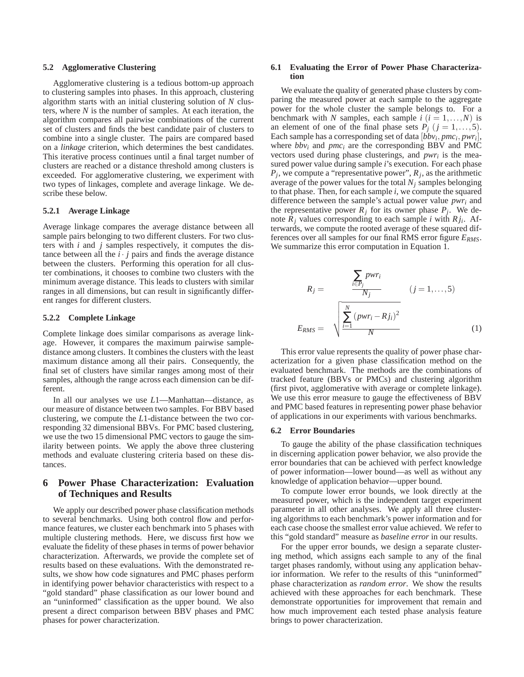#### **5.2 Agglomerative Clustering**

Agglomerative clustering is a tedious bottom-up approach to clustering samples into phases. In this approach, clustering algorithm starts with an initial clustering solution of *N* clusters, where *N* is the number of samples. At each iteration, the algorithm compares all pairwise combinations of the current set of clusters and finds the best candidate pair of clusters to combine into a single cluster. The pairs are compared based on a *linkage* criterion, which determines the best candidates. This iterative process continues until a final target number of clusters are reached or a distance threshold among clusters is exceeded. For agglomerative clustering, we experiment with two types of linkages, complete and average linkage. We describe these below.

### **5.2.1 Average Linkage**

Average linkage compares the average distance between all sample pairs belonging to two different clusters. For two clusters with *i* and *j* samples respectively, it computes the distance between all the  $i \cdot j$  pairs and finds the average distance between the clusters. Performing this operation for all cluster combinations, it chooses to combine two clusters with the minimum average distance. This leads to clusters with similar ranges in all dimensions, but can result in significantly different ranges for different clusters.

#### **5.2.2 Complete Linkage**

Complete linkage does similar comparisons as average linkage. However, it compares the maximum pairwise sampledistance among clusters. It combines the clusters with the least maximum distance among all their pairs. Consequently, the final set of clusters have similar ranges among most of their samples, although the range across each dimension can be different.

In all our analyses we use *L*1—Manhattan—distance, as our measure of distance between two samples. For BBV based clustering, we compute the *L*1-distance between the two corresponding 32 dimensional BBVs. For PMC based clustering, we use the two 15 dimensional PMC vectors to gauge the similarity between points. We apply the above three clustering methods and evaluate clustering criteria based on these distances.

# **6 Power Phase Characterization: Evaluation of Techniques and Results**

We apply our described power phase classification methods to several benchmarks. Using both control flow and performance features, we cluster each benchmark into 5 phases with multiple clustering methods. Here, we discuss first how we evaluate the fidelity of these phases in terms of power behavior characterization. Afterwards, we provide the complete set of results based on these evaluations. With the demonstrated results, we show how code signatures and PMC phases perform in identifying power behavior characteristics with respect to a "gold standard" phase classification as our lower bound and an "uninformed" classification as the upper bound. We also present a direct comparison between BBV phases and PMC phases for power characterization.

### **6.1 Evaluating the Error of Power Phase Characterization**

We evaluate the quality of generated phase clusters by comparing the measured power at each sample to the aggregate power for the whole cluster the sample belongs to. For a benchmark with *N* samples, each sample  $i$  ( $i = 1, ..., N$ ) is an element of one of the final phase sets  $P_j$  ( $j = 1, \ldots, 5$ ). Each sample has a corresponding set of data  $[bbv_i, pmc_i, pwr_i]$ where  $bbv_i$  and  $pmc_i$  are the corresponding BBV and PMC vectors used during phase clusterings, and *pwr<sup>i</sup>* is the measured power value during sample *i*'s execution. For each phase  $P_j$ , we compute a "representative power",  $R_j$ , as the arithmetic average of the power values for the total *N<sup>j</sup>* samples belonging to that phase. Then, for each sample *i*, we compute the squared difference between the sample's actual power value *pwr<sup>i</sup>* and the representative power  $R_j$  for its owner phase  $P_j$ . We denote  $R_j$  values corresponding to each sample *i* with  $R_{ji}$ . Afterwards, we compute the rooted average of these squared differences over all samples for our final RMS error figure *ERMS*. We summarize this error computation in Equation 1.

$$
R_{j} = \frac{\sum_{i \in P_{j}} p_{WT_{i}}}{N_{j}} \qquad (j = 1, ..., 5)
$$

$$
E_{RMS} = \sqrt{\sum_{i=1}^{N} (p_{WT_{i}} - R j_{i})^{2}}
$$
(1)

This error value represents the quality of power phase characterization for a given phase classification method on the evaluated benchmark. The methods are the combinations of tracked feature (BBVs or PMCs) and clustering algorithm (first pivot, agglomerative with average or complete linkage). We use this error measure to gauge the effectiveness of BBV and PMC based features in representing power phase behavior of applications in our experiments with various benchmarks.

#### **6.2 Error Boundaries**

To gauge the ability of the phase classification techniques in discerning application power behavior, we also provide the error boundaries that can be achieved with perfect knowledge of power information—lower bound—as well as without any knowledge of application behavior—upper bound.

To compute lower error bounds, we look directly at the measured power, which is the independent target experiment parameter in all other analyses. We apply all three clustering algorithms to each benchmark's power information and for each case choose the smallest error value achieved. We refer to this "gold standard" measure as *baseline error* in our results.

For the upper error bounds, we design a separate clustering method, which assigns each sample to any of the final target phases randomly, without using any application behavior information. We refer to the results of this "uninformed" phase characterization as *random error*. We show the results achieved with these approaches for each benchmark. These demonstrate opportunities for improvement that remain and how much improvement each tested phase analysis feature brings to power characterization.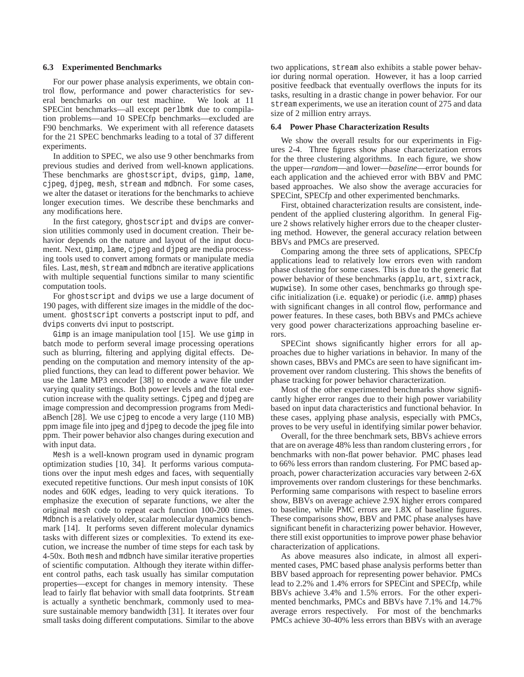#### **6.3 Experimented Benchmarks**

For our power phase analysis experiments, we obtain control flow, performance and power characteristics for several benchmarks on our test machine. We look at 11 SPECint benchmarks—all except perlbmk due to compilation problems—and 10 SPECfp benchmarks—excluded are F90 benchmarks. We experiment with all reference datasets for the 21 SPEC benchmarks leading to a total of 37 different experiments.

In addition to SPEC, we also use 9 other benchmarks from previous studies and derived from well-known applications. These benchmarks are ghostscript, dvips, gimp, lame, cjpeg, djpeg, mesh, stream and mdbnch. For some cases, we alter the dataset or iterations for the benchmarks to achieve longer execution times. We describe these benchmarks and any modifications here.

In the first category, ghostscript and dvips are conversion utilities commonly used in document creation. Their behavior depends on the nature and layout of the input document. Next, gimp, lame, cjpeg and djpeg are media processing tools used to convert among formats or manipulate media files. Last, mesh, stream and mdbnch are iterative applications with multiple sequential functions similar to many scientific computation tools.

For ghostscript and dvips we use a large document of 190 pages, with different size images in the middle of the document. ghostscript converts a postscript input to pdf, and dvips converts dvi input to postscript.

Gimp is an image manipulation tool [15]. We use gimp in batch mode to perform several image processing operations such as blurring, filtering and applying digital effects. Depending on the computation and memory intensity of the applied functions, they can lead to different power behavior. We use the lame MP3 encoder [38] to encode a wave file under varying quality settings. Both power levels and the total execution increase with the quality settings. Cjpeg and djpeg are image compression and decompression programs from MediaBench [28]. We use cjpeg to encode a very large (110 MB) ppm image file into jpeg and djpeg to decode the jpeg file into ppm. Their power behavior also changes during execution and with input data.

Mesh is a well-known program used in dynamic program optimization studies [10, 34]. It performs various computations over the input mesh edges and faces, with sequentially executed repetitive functions. Our mesh input consists of 10K nodes and 60K edges, leading to very quick iterations. To emphasize the execution of separate functions, we alter the original mesh code to repeat each function 100-200 times. Mdbnch is a relatively older, scalar molecular dynamics benchmark [14]. It performs seven different molecular dynamics tasks with different sizes or complexities. To extend its execution, we increase the number of time steps for each task by 4-50x. Both mesh and mdbnch have similar iterative properties of scientific computation. Although they iterate within different control paths, each task usually has similar computation properties—except for changes in memory intensity. These lead to fairly flat behavior with small data footprints. Stream is actually a synthetic benchmark, commonly used to measure sustainable memory bandwidth [31]. It iterates over four small tasks doing different computations. Similar to the above two applications, stream also exhibits a stable power behavior during normal operation. However, it has a loop carried positive feedback that eventually overflows the inputs for its tasks, resulting in a drastic change in power behavior. For our stream experiments, we use an iteration count of 275 and data size of 2 million entry arrays.

#### **6.4 Power Phase Characterization Results**

We show the overall results for our experiments in Figures 2-4. Three figures show phase characterization errors for the three clustering algorithms. In each figure, we show the upper—*random*—and lower—*baseline*—error bounds for each application and the achieved error with BBV and PMC based approaches. We also show the average accuracies for SPECint, SPECfp and other experimented benchmarks.

First, obtained characterization results are consistent, independent of the applied clustering algorithm. In general Figure 2 shows relatively higher errors due to the cheaper clustering method. However, the general accuracy relation between BBVs and PMCs are preserved.

Comparing among the three sets of applications, SPECfp applications lead to relatively low errors even with random phase clustering for some cases. This is due to the generic flat power behavior of these benchmarks (applu, art, sixtrack, wupwise). In some other cases, benchmarks go through specific initialization (i.e. equake) or periodic (i.e. ammp) phases with significant changes in all control flow, performance and power features. In these cases, both BBVs and PMCs achieve very good power characterizations approaching baseline errors.

SPECint shows significantly higher errors for all approaches due to higher variations in behavior. In many of the shown cases, BBVs and PMCs are seen to have significant improvement over random clustering. This shows the benefits of phase tracking for power behavior characterization.

Most of the other experimented benchmarks show significantly higher error ranges due to their high power variability based on input data characteristics and functional behavior. In these cases, applying phase analysis, especially with PMCs, proves to be very useful in identifying similar power behavior.

Overall, for the three benchmark sets, BBVs achieve errors that are on average 48% less than random clustering errors , for benchmarks with non-flat power behavior. PMC phases lead to 66% less errors than random clustering. For PMC based approach, power characterization accuracies vary between 2-6X improvements over random clusterings for these benchmarks. Performing same comparisons with respect to baseline errors show, BBVs on average achieve 2.9X higher errors compared to baseline, while PMC errors are 1.8X of baseline figures. These comparisons show, BBV and PMC phase analyses have significant benefit in characterizing power behavior. However, there still exist opportunities to improve power phase behavior characterization of applications.

As above measures also indicate, in almost all experimented cases, PMC based phase analysis performs better than BBV based approach for representing power behavior. PMCs lead to 2.2% and 1.4% errors for SPECint and SPECfp, while BBVs achieve 3.4% and 1.5% errors. For the other experimented benchmarks, PMCs and BBVs have 7.1% and 14.7% average errors respectively. For most of the benchmarks PMCs achieve 30-40% less errors than BBVs with an average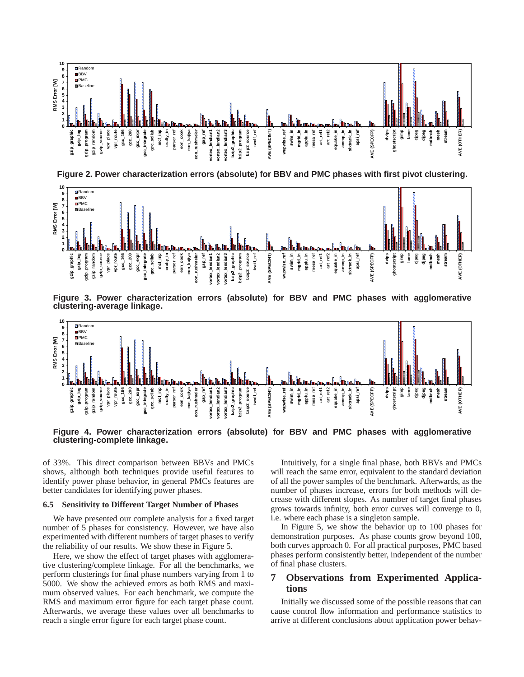

**Figure 2. Power characterization errors (absolute) for BBV and PMC phases with first pivot clustering.**



**Figure 3. Power characterization errors (absolute) for BBV and PMC phases with agglomerative clustering-average linkage.**



**Figure 4. Power characterization errors (absolute) for BBV and PMC phases with agglomerative clustering-complete linkage.**

of 33%. This direct comparison between BBVs and PMCs shows, although both techniques provide useful features to identify power phase behavior, in general PMCs features are better candidates for identifying power phases.

#### **6.5 Sensitivity to Different Target Number of Phases**

We have presented our complete analysis for a fixed target number of 5 phases for consistency. However, we have also experimented with different numbers of target phases to verify the reliability of our results. We show these in Figure 5.

Here, we show the effect of target phases with agglomerative clustering/complete linkage. For all the benchmarks, we perform clusterings for final phase numbers varying from 1 to 5000. We show the achieved errors as both RMS and maximum observed values. For each benchmark, we compute the RMS and maximum error figure for each target phase count. Afterwards, we average these values over all benchmarks to reach a single error figure for each target phase count.

Intuitively, for a single final phase, both BBVs and PMCs will reach the same error, equivalent to the standard deviation of all the power samples of the benchmark. Afterwards, as the number of phases increase, errors for both methods will decrease with different slopes. As number of target final phases grows towards infinity, both error curves will converge to 0, i.e. where each phase is a singleton sample.

In Figure 5, we show the behavior up to 100 phases for demonstration purposes. As phase counts grow beyond 100, both curves approach 0. For all practical purposes, PMC based phases perform consistently better, independent of the number of final phase clusters.

# **7 Observations from Experimented Applications**

Initially we discussed some of the possible reasons that can cause control flow information and performance statistics to arrive at different conclusions about application power behav-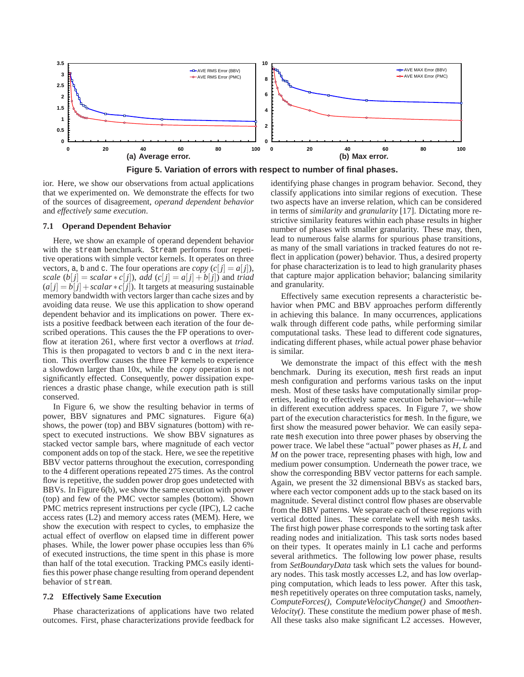

ior. Here, we show our observations from actual applications that we experimented on. We demonstrate the effects for two

### **7.1 Operand Dependent Behavior**

and *effectively same execution*.

Here, we show an example of operand dependent behavior with the stream benchmark. Stream performs four repetitive operations with simple vector kernels. It operates on three vectors, a, b and c. The four operations are *copy*  $(c[j] = a[j])$ , *scale*  $(b[j] = scalar * c[j])$ , *add*  $(c[j] = a[j] + b[j])$  and *triad*  $(a[i] = b[i] + scalar * c[i]$ ). It targets at measuring sustainable memory bandwidth with vectors larger than cache sizes and by avoiding data reuse. We use this application to show operand dependent behavior and its implications on power. There exists a positive feedback between each iteration of the four described operations. This causes the the FP operations to overflow at iteration 261, where first vector a overflows at *triad*. This is then propagated to vectors b and c in the next iteration. This overflow causes the three FP kernels to experience a slowdown larger than 10x, while the *copy* operation is not significantly effected. Consequently, power dissipation experiences a drastic phase change, while execution path is still conserved.

of the sources of disagreement, *operand dependent behavior*

In Figure 6, we show the resulting behavior in terms of power, BBV signatures and PMC signatures. Figure 6(a) shows, the power (top) and BBV signatures (bottom) with respect to executed instructions. We show BBV signatures as stacked vector sample bars, where magnitude of each vector component adds on top of the stack. Here, we see the repetitive BBV vector patterns throughout the execution, corresponding to the 4 different operations repeated 275 times. As the control flow is repetitive, the sudden power drop goes undetected with BBVs. In Figure 6(b), we show the same execution with power (top) and few of the PMC vector samples (bottom). Shown PMC metrics represent instructions per cycle (IPC), L2 cache access rates (L2) and memory access rates (MEM). Here, we show the execution with respect to cycles, to emphasize the actual effect of overflow on elapsed time in different power phases. While, the lower power phase occupies less than 6% of executed instructions, the time spent in this phase is more than half of the total execution. Tracking PMCs easily identifies this power phase change resulting from operand dependent behavior of stream.

#### **7.2 Effectively Same Execution**

Phase characterizations of applications have two related outcomes. First, phase characterizations provide feedback for identifying phase changes in program behavior. Second, they classify applications into similar regions of execution. These two aspects have an inverse relation, which can be considered in terms of *similarity* and *granularity* [17]. Dictating more restrictive similarity features within each phase results in higher number of phases with smaller granularity. These may, then, lead to numerous false alarms for spurious phase transitions, as many of the small variations in tracked features do not reflect in application (power) behavior. Thus, a desired property for phase characterization is to lead to high granularity phases that capture major application behavior; balancing similarity and granularity.

Effectively same execution represents a characteristic behavior when PMC and BBV approaches perform differently in achieving this balance. In many occurrences, applications walk through different code paths, while performing similar computational tasks. These lead to different code signatures, indicating different phases, while actual power phase behavior is similar.

We demonstrate the impact of this effect with the mesh benchmark. During its execution, mesh first reads an input mesh configuration and performs various tasks on the input mesh. Most of these tasks have computationally similar properties, leading to effectively same execution behavior—while in different execution address spaces. In Figure 7, we show part of the execution characteristics for mesh. In the figure, we first show the measured power behavior. We can easily separate mesh execution into three power phases by observing the power trace. We label these "actual" power phases as *H*, *L* and *M* on the power trace, representing phases with high, low and medium power consumption. Underneath the power trace, we show the corresponding BBV vector patterns for each sample. Again, we present the 32 dimensional BBVs as stacked bars, where each vector component adds up to the stack based on its magnitude. Several distinct control flow phases are observable from the BBV patterns. We separate each of these regions with vertical dotted lines. These correlate well with mesh tasks. The first high power phase corresponds to the sorting task after reading nodes and initialization. This task sorts nodes based on their types. It operates mainly in L1 cache and performs several arithmetics. The following low power phase, results from *SetBoundaryData* task which sets the values for boundary nodes. This task mostly accesses L2, and has low overlapping computation, which leads to less power. After this task, mesh repetitively operates on three computation tasks, namely, *ComputeForces()*, *ComputeVelocityChange()* and *Smoothen-Velocity()*. These constitute the medium power phase of mesh. All these tasks also make significant L2 accesses. However,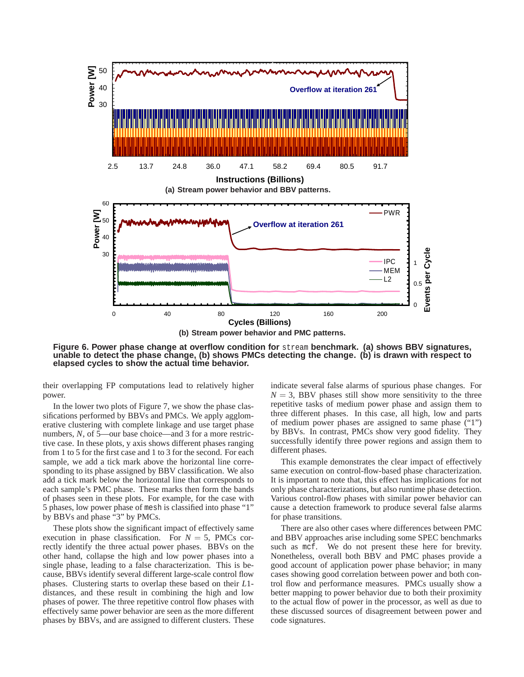

**Figure 6. Power phase change at overflow condition for** stream **benchmark. (a) shows BBV signatures, unable to detect the phase change, (b) shows PMCs detecting the change. (b) is drawn with respect to elapsed cycles to show the actual time behavior.**

their overlapping FP computations lead to relatively higher power.

In the lower two plots of Figure 7, we show the phase classifications performed by BBVs and PMCs. We apply agglomerative clustering with complete linkage and use target phase numbers, *N*, of 5—our base choice—and 3 for a more restrictive case. In these plots, y axis shows different phases ranging from 1 to 5 for the first case and 1 to 3 for the second. For each sample, we add a tick mark above the horizontal line corresponding to its phase assigned by BBV classification. We also add a tick mark below the horizontal line that corresponds to each sample's PMC phase. These marks then form the bands of phases seen in these plots. For example, for the case with 5 phases, low power phase of mesh is classified into phase "1" by BBVs and phase "3" by PMCs.

These plots show the significant impact of effectively same execution in phase classification. For  $N = 5$ , PMCs correctly identify the three actual power phases. BBVs on the other hand, collapse the high and low power phases into a single phase, leading to a false characterization. This is because, BBVs identify several different large-scale control flow phases. Clustering starts to overlap these based on their *L*1 distances, and these result in combining the high and low phases of power. The three repetitive control flow phases with effectively same power behavior are seen as the more different phases by BBVs, and are assigned to different clusters. These indicate several false alarms of spurious phase changes. For  $N = 3$ , BBV phases still show more sensitivity to the three repetitive tasks of medium power phase and assign them to three different phases. In this case, all high, low and parts of medium power phases are assigned to same phase ("1") by BBVs. In contrast, PMCs show very good fidelity. They successfully identify three power regions and assign them to different phases.

This example demonstrates the clear impact of effectively same execution on control-flow-based phase characterization. It is important to note that, this effect has implications for not only phase characterizations, but also runtime phase detection. Various control-flow phases with similar power behavior can cause a detection framework to produce several false alarms for phase transitions.

There are also other cases where differences between PMC and BBV approaches arise including some SPEC benchmarks such as mcf. We do not present these here for brevity. Nonetheless, overall both BBV and PMC phases provide a good account of application power phase behavior; in many cases showing good correlation between power and both control flow and performance measures. PMCs usually show a better mapping to power behavior due to both their proximity to the actual flow of power in the processor, as well as due to these discussed sources of disagreement between power and code signatures.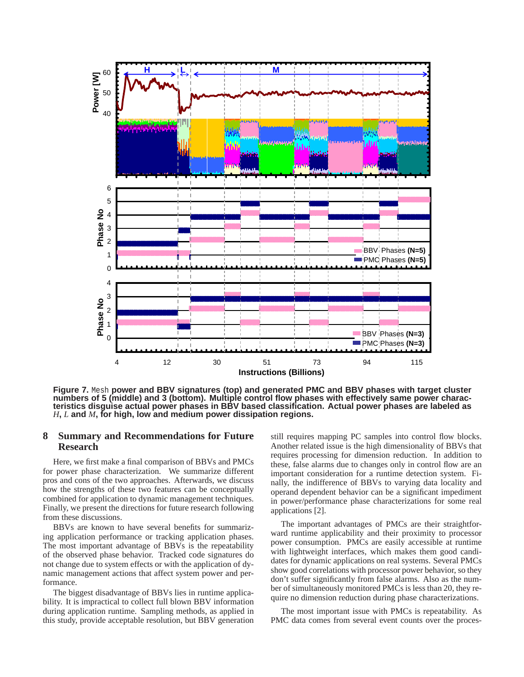

**Figure 7.** Mesh **power and BBV signatures (top) and generated PMC and BBV phases with target cluster numbers of 5 (middle) and 3 (bottom). Multiple control flow phases with effectively same power characteristics disguise actual power phases in BBV based classification. Actual power phases are labeled as** *H***,** *L* **and** *M***, for high, low and medium power dissipation regions.**

# **8 Summary and Recommendations for Future Research**

Here, we first make a final comparison of BBVs and PMCs for power phase characterization. We summarize different pros and cons of the two approaches. Afterwards, we discuss how the strengths of these two features can be conceptually combined for application to dynamic management techniques. Finally, we present the directions for future research following from these discussions.

BBVs are known to have several benefits for summarizing application performance or tracking application phases. The most important advantage of BBVs is the repeatability of the observed phase behavior. Tracked code signatures do not change due to system effects or with the application of dynamic management actions that affect system power and performance.

The biggest disadvantage of BBVs lies in runtime applicability. It is impractical to collect full blown BBV information during application runtime. Sampling methods, as applied in this study, provide acceptable resolution, but BBV generation still requires mapping PC samples into control flow blocks. Another related issue is the high dimensionality of BBVs that requires processing for dimension reduction. In addition to these, false alarms due to changes only in control flow are an important consideration for a runtime detection system. Finally, the indifference of BBVs to varying data locality and operand dependent behavior can be a significant impediment in power/performance phase characterizations for some real applications [2].

The important advantages of PMCs are their straightforward runtime applicability and their proximity to processor power consumption. PMCs are easily accessible at runtime with lightweight interfaces, which makes them good candidates for dynamic applications on real systems. Several PMCs show good correlations with processor power behavior, so they don't suffer significantly from false alarms. Also as the number of simultaneously monitored PMCs is less than 20, they require no dimension reduction during phase characterizations.

The most important issue with PMCs is repeatability. As PMC data comes from several event counts over the proces-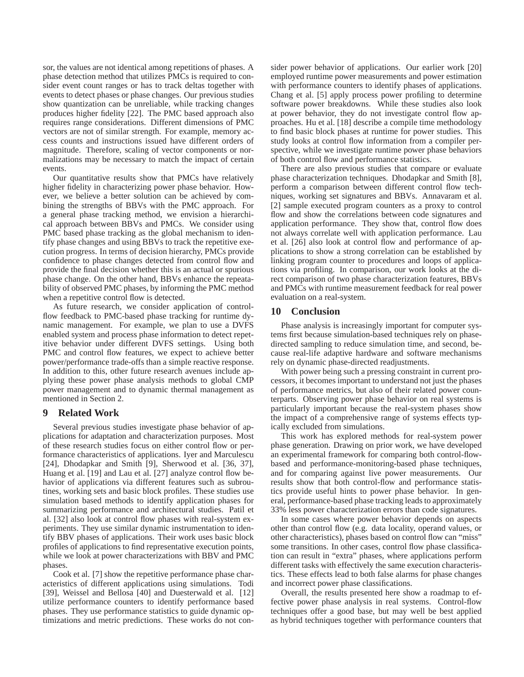sor, the values are not identical among repetitions of phases. A phase detection method that utilizes PMCs is required to consider event count ranges or has to track deltas together with events to detect phases or phase changes. Our previous studies show quantization can be unreliable, while tracking changes produces higher fidelity [22]. The PMC based approach also requires range considerations. Different dimensions of PMC vectors are not of similar strength. For example, memory access counts and instructions issued have different orders of magnitude. Therefore, scaling of vector components or normalizations may be necessary to match the impact of certain events.

Our quantitative results show that PMCs have relatively higher fidelity in characterizing power phase behavior. However, we believe a better solution can be achieved by combining the strengths of BBVs with the PMC approach. For a general phase tracking method, we envision a hierarchical approach between BBVs and PMCs. We consider using PMC based phase tracking as the global mechanism to identify phase changes and using BBVs to track the repetitive execution progress. In terms of decision hierarchy, PMCs provide confidence to phase changes detected from control flow and provide the final decision whether this is an actual or spurious phase change. On the other hand, BBVs enhance the repeatability of observed PMC phases, by informing the PMC method when a repetitive control flow is detected.

As future research, we consider application of controlflow feedback to PMC-based phase tracking for runtime dynamic management. For example, we plan to use a DVFS enabled system and process phase information to detect repetitive behavior under different DVFS settings. Using both PMC and control flow features, we expect to achieve better power/performance trade-offs than a simple reactive response. In addition to this, other future research avenues include applying these power phase analysis methods to global CMP power management and to dynamic thermal management as mentioned in Section 2.

## **9 Related Work**

Several previous studies investigate phase behavior of applications for adaptation and characterization purposes. Most of these research studies focus on either control flow or performance characteristics of applications. Iyer and Marculescu [24], Dhodapkar and Smith [9], Sherwood et al. [36, 37], Huang et al. [19] and Lau et al. [27] analyze control flow behavior of applications via different features such as subroutines, working sets and basic block profiles. These studies use simulation based methods to identify application phases for summarizing performance and architectural studies. Patil et al. [32] also look at control flow phases with real-system experiments. They use similar dynamic instrumentation to identify BBV phases of applications. Their work uses basic block profiles of applications to find representative execution points, while we look at power characterizations with BBV and PMC phases.

Cook et al. [7] show the repetitive performance phase characteristics of different applications using simulations. Todi [39], Weissel and Bellosa [40] and Duesterwald et al. [12] utilize performance counters to identify performance based phases. They use performance statistics to guide dynamic optimizations and metric predictions. These works do not consider power behavior of applications. Our earlier work [20] employed runtime power measurements and power estimation with performance counters to identify phases of applications. Chang et al. [5] apply process power profiling to determine software power breakdowns. While these studies also look at power behavior, they do not investigate control flow approaches. Hu et al. [18] describe a compile time methodology to find basic block phases at runtime for power studies. This study looks at control flow information from a compiler perspective, while we investigate runtime power phase behaviors of both control flow and performance statistics.

There are also previous studies that compare or evaluate phase characterization techniques. Dhodapkar and Smith [8], perform a comparison between different control flow techniques, working set signatures and BBVs. Annavaram et al. [2] sample executed program counters as a proxy to control flow and show the correlations between code signatures and application performance. They show that, control flow does not always correlate well with application performance. Lau et al. [26] also look at control flow and performance of applications to show a strong correlation can be established by linking program counter to procedures and loops of applications via profiling. In comparison, our work looks at the direct comparison of two phase characterization features, BBVs and PMCs with runtime measurement feedback for real power evaluation on a real-system.

### **10 Conclusion**

Phase analysis is increasingly important for computer systems first because simulation-based techniques rely on phasedirected sampling to reduce simulation time, and second, because real-life adaptive hardware and software mechanisms rely on dynamic phase-directed readjustments.

With power being such a pressing constraint in current processors, it becomes important to understand not just the phases of performance metrics, but also of their related power counterparts. Observing power phase behavior on real systems is particularly important because the real-system phases show the impact of a comprehensive range of systems effects typically excluded from simulations.

This work has explored methods for real-system power phase generation. Drawing on prior work, we have developed an experimental framework for comparing both control-flowbased and performance-monitoring-based phase techniques, and for comparing against live power measurements. Our results show that both control-flow and performance statistics provide useful hints to power phase behavior. In general, performance-based phase tracking leads to approximately 33% less power characterization errors than code signatures.

In some cases where power behavior depends on aspects other than control flow (e.g. data locality, operand values, or other characteristics), phases based on control flow can "miss" some transitions. In other cases, control flow phase classification can result in "extra" phases, where applications perform different tasks with effectively the same execution characteristics. These effects lead to both false alarms for phase changes and incorrect power phase classifications.

Overall, the results presented here show a roadmap to effective power phase analysis in real systems. Control-flow techniques offer a good base, but may well be best applied as hybrid techniques together with performance counters that